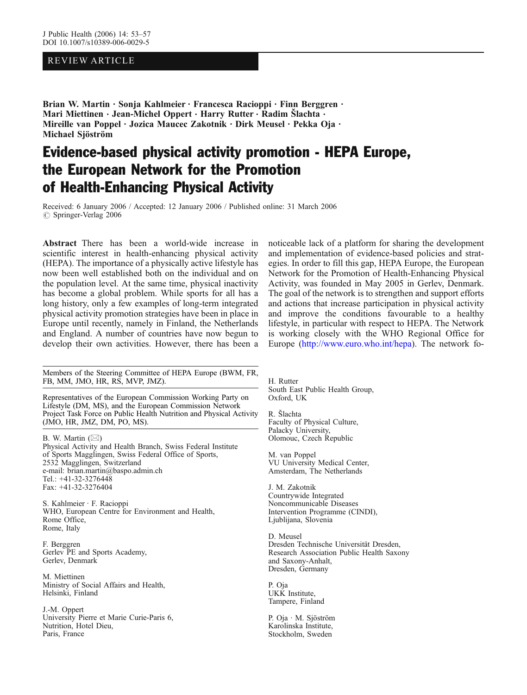# REVIEW ARTICLE

Brian W. Martin · Sonja Kahlmeier · Francesca Racioppi · Finn Berggren · Mari Miettinen . Jean-Michel Oppert . Harry Rutter . Radim *Š*lachta . Mireille van Poppel · Jozica Maucec Zakotnik · Dirk Meusel · Pekka Oja · Michael Sjöström

# Evidence-based physical activity promotion - HEPA Europe, the European Network for the Promotion of Health-Enhancing Physical Activity

Received: 6 January 2006 / Accepted: 12 January 2006 / Published online: 31 March 2006  $\oslash$  Springer-Verlag 2006

Abstract There has been a world-wide increase in scientific interest in health-enhancing physical activity (HEPA). The importance of a physically active lifestyle has now been well established both on the individual and on the population level. At the same time, physical inactivity has become a global problem. While sports for all has a long history, only a few examples of long-term integrated physical activity promotion strategies have been in place in Europe until recently, namely in Finland, the Netherlands and England. A number of countries have now begun to develop their own activities. However, there has been a

Members of the Steering Committee of HEPA Europe (BWM, FR, FB, MM, JMO, HR, RS, MVP, JMZ).

Representatives of the European Commission Working Party on Lifestyle (DM, MS), and the European Commission Network Project Task Force on Public Health Nutrition and Physical Activity (JMO, HR, JMZ, DM, PO, MS).

**B.** W. Martin (⊠) Physical Activity and Health Branch, Swiss Federal Institute of Sports Magglingen, Swiss Federal Office of Sports, 2532 Magglingen, Switzerland e-mail: brian.martin@baspo.admin.ch Tel.: +41-32-3276448 Fax: +41-32-3276404

S. Kahlmeier . F. Racioppi WHO, European Centre for Environment and Health, Rome Office, Rome, Italy

F. Berggren Gerlev PE and Sports Academy, Gerlev, Denmark

M. Miettinen Ministry of Social Affairs and Health, Helsinki, Finland

J.-M. Oppert University Pierre et Marie Curie-Paris 6, Nutrition, Hotel Dieu, Paris, France

noticeable lack of a platform for sharing the development and implementation of evidence-based policies and strategies. In order to fill this gap, HEPA Europe, the European Network for the Promotion of Health-Enhancing Physical Activity, was founded in May 2005 in Gerlev, Denmark. The goal of the network is to strengthen and support efforts and actions that increase participation in physical activity and improve the conditions favourable to a healthy lifestyle, in particular with respect to HEPA. The Network is working closely with the WHO Regional Office for Europe [\(http://www.euro.who.int/hepa](http://www.euro.who.int/hepa)). The network fo-

H. Rutter South East Public Health Group, Oxford, UK

R. *Š*lachta Faculty of Physical Culture, Palacky University, Olomouc, Czech Republic

M. van Poppel VU University Medical Center, Amsterdam, The Netherlands

J. M. Zakotnik Countrywide Integrated Noncommunicable Diseases Intervention Programme (CINDI), Ljublijana, Slovenia

D. Meusel Dresden Technische Universität Dresden, Research Association Public Health Saxony and Saxony-Anhalt, Dresden, Germany

P. Oja UKK Institute, Tampere, Finland

P. Oja . M. Sjöström Karolinska Institute, Stockholm, Sweden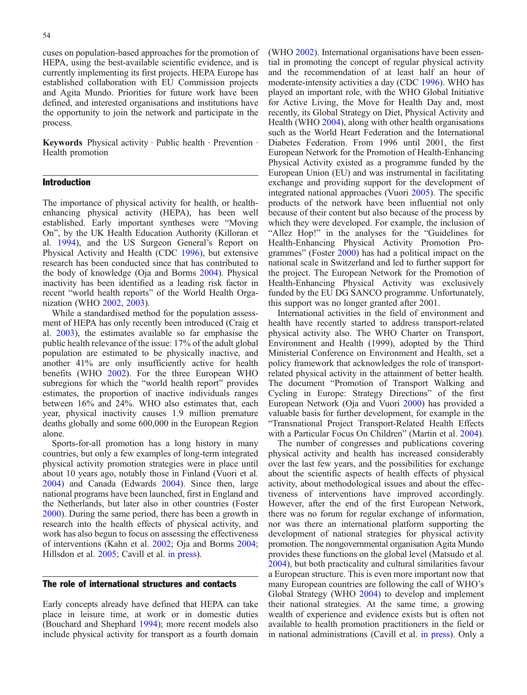cuses on population-based approaches for the promotion of HEPA, using the best-available scientific evidence, and is currently implementing its first projects. HEPA Europe has established collaboration with EU Commission projects and Agita Mundo. Priorities for future work have been defined, and interested organisations and institutions have the opportunity to join the network and participate in the process.

Keywords Physical activity . Public health . Prevention . Health promotion

#### Introduction

The importance of physical activity for health, or healthenhancing physical activity (HEPA), has been well established. Early important syntheses were "Moving On", by the UK Health Education Authority (Killoran et al. 1994), and the US Surgeon General's Report on Physical Activity and Health (CDC 1996), but extensive research has been conducted since that has contributed to the body of knowledge (Oja and Borms 2004). Physical inactivity has been identified as a leading risk factor in recent "world health reports" of the World Health Organization (WHO 2002, 2003).

While a standardised method for the population assessment of HEPA has only recently been introduced (Craig et al. 2003), the estimates available so far emphasise the public health relevance of the issue: 17% of the adult global population are estimated to be physically inactive, and another 41% are only insufficiently active for health benefits (WHO 2002). For the three European WHO subregions for which the "world health report" provides estimates, the proportion of inactive individuals ranges between 16% and 24%. WHO also estimates that, each year, physical inactivity causes 1.9 million premature deaths globally and some 600,000 in the European Region alone.

Sports-for-all promotion has a long history in many countries, but only a few examples of long-term integrated physical activity promotion strategies were in place until about 10 years ago, notably those in Finland (Vuori et al. 2004) and Canada (Edwards 2004). Since then, large national programs have been launched, first in England and the Netherlands, but later also in other countries (Foster 2000). During the same period, there has been a growth in research into the health effects of physical activity, and work has also begun to focus on assessing the effectiveness of interventions (Kahn et al. 2002; Oja and Borms 2004; Hillsdon et al. 2005; Cavill et al. in press).

## The role of international structures and contacts

Early concepts already have defined that HEPA can take place in leisure time, at work or in domestic duties (Bouchard and Shephard 1994); more recent models also include physical activity for transport as a fourth domain

(WHO 2002). International organisations have been essential in promoting the concept of regular physical activity and the recommendation of at least half an hour of moderate-intensity activities a day (CDC 1996). WHO has played an important role, with the WHO Global Initiative for Active Living, the Move for Health Day and, most recently, its Global Strategy on Diet, Physical Activity and Health (WHO 2004), along with other health organisations such as the World Heart Federation and the International Diabetes Federation. From 1996 until 2001, the first European Network for the Promotion of Health-Enhancing Physical Activity existed as a programme funded by the European Union (EU) and was instrumental in facilitating exchange and providing support for the development of integrated national approaches (Vuori 2005). The specific products of the network have been influential not only because of their content but also because of the process by which they were developed. For example, the inclusion of "Allez Hop!" in the analyses for the "Guidelines for Health-Enhancing Physical Activity Promotion Programmes" (Foster 2000) has had a political impact on the national scale in Switzerland and led to further support for the project. The European Network for the Promotion of Health-Enhancing Physical Activity was exclusively funded by the EU DG SANCO programme. Unfortunately, this support was no longer granted after 2001.

International activities in the field of environment and health have recently started to address transport-related physical activity also. The WHO Charter on Transport, Environment and Health (1999), adopted by the Third Ministerial Conference on Environment and Health, set a policy framework that acknowledges the role of transportrelated physical activity in the attainment of better health. The document "Promotion of Transport Walking and Cycling in Europe: Strategy Directions" of the first European Network (Oja and Vuori 2000) has provided a valuable basis for further development, for example in the "Transnational Project Transport-Related Health Effects with a Particular Focus On Children" (Martin et al. 2004).

The number of congresses and publications covering physical activity and health has increased considerably over the last few years, and the possibilities for exchange about the scientific aspects of health effects of physical activity, about methodological issues and about the effectiveness of interventions have improved accordingly. However, after the end of the first European Network, there was no forum for regular exchange of information, nor was there an international platform supporting the development of national strategies for physical activity promotion. The nongovernmental organisation Agita Mundo provides these functions on the global level (Matsudo et al. 2004), but both practicality and cultural similarities favour a European structure. This is even more important now that many European countries are following the call of WHO's Global Strategy (WHO 2004) to develop and implement their national strategies. At the same time, a growing wealth of experience and evidence exists but is often not available to health promotion practitioners in the field or in national administrations (Cavill et al. in press). Only a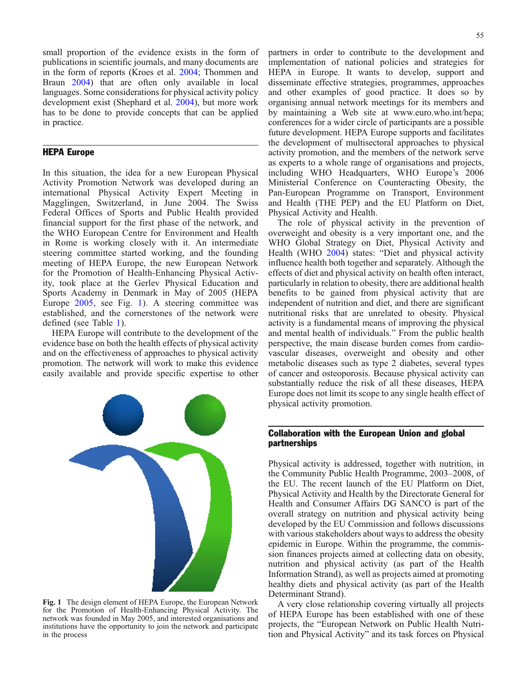small proportion of the evidence exists in the form of publications in scientific journals, and many documents are in the form of reports (Kroes et al. 2004; Thommen and Braun 2004) that are often only available in local languages. Some considerations for physical activity policy development exist (Shephard et al. 2004), but more work has to be done to provide concepts that can be applied in practice.

### HEPA Europe

In this situation, the idea for a new European Physical Activity Promotion Network was developed during an international Physical Activity Expert Meeting in Magglingen, Switzerland, in June 2004. The Swiss Federal Offices of Sports and Public Health provided financial support for the first phase of the network, and the WHO European Centre for Environment and Health in Rome is working closely with it. An intermediate steering committee started working, and the founding meeting of HEPA Europe, the new European Network for the Promotion of Health-Enhancing Physical Activity, took place at the Gerlev Physical Education and Sports Academy in Denmark in May of 2005 (HEPA Europe 2005, see Fig. 1). A steering committee was established, and the cornerstones of the network were defined (see Table 1).

HEPA Europe will contribute to the development of the evidence base on both the health effects of physical activity and on the effectiveness of approaches to physical activity promotion. The network will work to make this evidence easily available and provide specific expertise to other



Fig. 1 The design element of HEPA Europe, the European Network for the Promotion of Health-Enhancing Physical Activity. The network was founded in May 2005, and interested organisations and institutions have the opportunity to join the network and participate in the process

partners in order to contribute to the development and implementation of national policies and strategies for HEPA in Europe. It wants to develop, support and disseminate effective strategies, programmes, approaches and other examples of good practice. It does so by organising annual network meetings for its members and by maintaining a Web site at www.euro.who.int/hepa; conferences for a wider circle of participants are a possible future development. HEPA Europe supports and facilitates the development of multisectoral approaches to physical activity promotion, and the members of the network serve as experts to a whole range of organisations and projects, including WHO Headquarters, WHO Europe's 2006 Ministerial Conference on Counteracting Obesity, the Pan-European Programme on Transport, Environment and Health (THE PEP) and the EU Platform on Diet, Physical Activity and Health.

The role of physical activity in the prevention of overweight and obesity is a very important one, and the WHO Global Strategy on Diet, Physical Activity and Health (WHO 2004) states: "Diet and physical activity influence health both together and separately. Although the effects of diet and physical activity on health often interact, particularly in relation to obesity, there are additional health benefits to be gained from physical activity that are independent of nutrition and diet, and there are significant nutritional risks that are unrelated to obesity. Physical activity is a fundamental means of improving the physical and mental health of individuals." From the public health perspective, the main disease burden comes from cardiovascular diseases, overweight and obesity and other metabolic diseases such as type 2 diabetes, several types of cancer and osteoporosis. Because physical activity can substantially reduce the risk of all these diseases, HEPA Europe does not limit its scope to any single health effect of physical activity promotion.

# Collaboration with the European Union and global partnerships

Physical activity is addressed, together with nutrition, in the Community Public Health Programme, 2003–2008, of the EU. The recent launch of the EU Platform on Diet, Physical Activity and Health by the Directorate General for Health and Consumer Affairs DG SANCO is part of the overall strategy on nutrition and physical activity being developed by the EU Commission and follows discussions with various stakeholders about ways to address the obesity epidemic in Europe. Within the programme, the commission finances projects aimed at collecting data on obesity, nutrition and physical activity (as part of the Health Information Strand), as well as projects aimed at promoting healthy diets and physical activity (as part of the Health Determinant Strand).

A very close relationship covering virtually all projects of HEPA Europe has been established with one of these projects, the "European Network on Public Health Nutrition and Physical Activity" and its task forces on Physical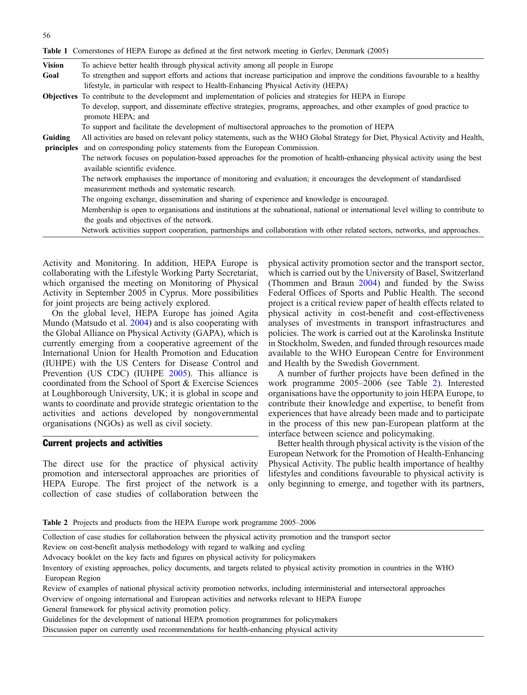|  |  |  |  | Table 1 Cornerstones of HEPA Europe as defined at the first network meeting in Gerlev, Denmark (2005) |  |  |
|--|--|--|--|-------------------------------------------------------------------------------------------------------|--|--|
|--|--|--|--|-------------------------------------------------------------------------------------------------------|--|--|

| <b>Vision</b> | To achieve better health through physical activity among all people in Europe                                                                                                                                             |  |  |  |
|---------------|---------------------------------------------------------------------------------------------------------------------------------------------------------------------------------------------------------------------------|--|--|--|
| Goal          | To strengthen and support efforts and actions that increase participation and improve the conditions favourable to a healthy                                                                                              |  |  |  |
|               | lifestyle, in particular with respect to Health-Enhancing Physical Activity (HEPA)                                                                                                                                        |  |  |  |
|               | Objectives To contribute to the development and implementation of policies and strategies for HEPA in Europe                                                                                                              |  |  |  |
|               | To develop, support, and disseminate effective strategies, programs, approaches, and other examples of good practice to<br>promote HEPA; and                                                                              |  |  |  |
|               | To support and facilitate the development of multisectoral approaches to the promotion of HEPA                                                                                                                            |  |  |  |
| Guiding       | All activities are based on relevant policy statements, such as the WHO Global Strategy for Diet, Physical Activity and Health,<br><b>principles</b> and on corresponding policy statements from the European Commission. |  |  |  |
|               | The network focuses on population-based approaches for the promotion of health-enhancing physical activity using the best<br>available scientific evidence.                                                               |  |  |  |
|               | The network emphasises the importance of monitoring and evaluation; it encourages the development of standardised<br>measurement methods and systematic research.                                                         |  |  |  |
|               | The ongoing exchange, dissemination and sharing of experience and knowledge is encouraged.                                                                                                                                |  |  |  |
|               | Membership is open to organisations and institutions at the subnational, national or international level willing to contribute to<br>the goals and objectives of the network.                                             |  |  |  |
|               | Network activities support cooperation, partnerships and collaboration with other related sectors, networks, and approaches.                                                                                              |  |  |  |

Activity and Monitoring. In addition, HEPA Europe is collaborating with the Lifestyle Working Party Secretariat, which organised the meeting on Monitoring of Physical Activity in September 2005 in Cyprus. More possibilities for joint projects are being actively explored.

On the global level, HEPA Europe has joined Agita Mundo (Matsudo et al. 2004) and is also cooperating with the Global Alliance on Physical Activity (GAPA), which is currently emerging from a cooperative agreement of the International Union for Health Promotion and Education (IUHPE) with the US Centers for Disease Control and Prevention (US CDC) (IUHPE 2005). This alliance is coordinated from the School of Sport & Exercise Sciences at Loughborough University, UK; it is global in scope and wants to coordinate and provide strategic orientation to the activities and actions developed by nongovernmental organisations (NGOs) as well as civil society.

## Current projects and activities

The direct use for the practice of physical activity promotion and intersectoral approaches are priorities of HEPA Europe. The first project of the network is a collection of case studies of collaboration between the

physical activity promotion sector and the transport sector, which is carried out by the University of Basel, Switzerland (Thommen and Braun 2004) and funded by the Swiss Federal Offices of Sports and Public Health. The second project is a critical review paper of health effects related to physical activity in cost-benefit and cost-effectiveness analyses of investments in transport infrastructures and policies. The work is carried out at the Karolinska Institute in Stockholm, Sweden, and funded through resources made available to the WHO European Centre for Environment and Health by the Swedish Government.

A number of further projects have been defined in the work programme 2005–2006 (see Table 2). Interested organisations have the opportunity to join HEPA Europe, to contribute their knowledge and expertise, to benefit from experiences that have already been made and to participate in the process of this new pan-European platform at the interface between science and policymaking.

Better health through physical activity is the vision of the European Network for the Promotion of Health-Enhancing Physical Activity. The public health importance of healthy lifestyles and conditions favourable to physical activity is only beginning to emerge, and together with its partners,

Table 2 Projects and products from the HEPA Europe work programme 2005–2006

Collection of case studies for collaboration between the physical activity promotion and the transport sector

Review on cost-benefit analysis methodology with regard to walking and cycling

Advocacy booklet on the key facts and figures on physical activity for policymakers

Inventory of existing approaches, policy documents, and targets related to physical activity promotion in countries in the WHO European Region

Review of examples of national physical activity promotion networks, including interministerial and intersectoral approaches Overview of ongoing international and European activities and networks relevant to HEPA Europe

General framework for physical activity promotion policy.

Guidelines for the development of national HEPA promotion programmes for policymakers

Discussion paper on currently used recommendations for health-enhancing physical activity